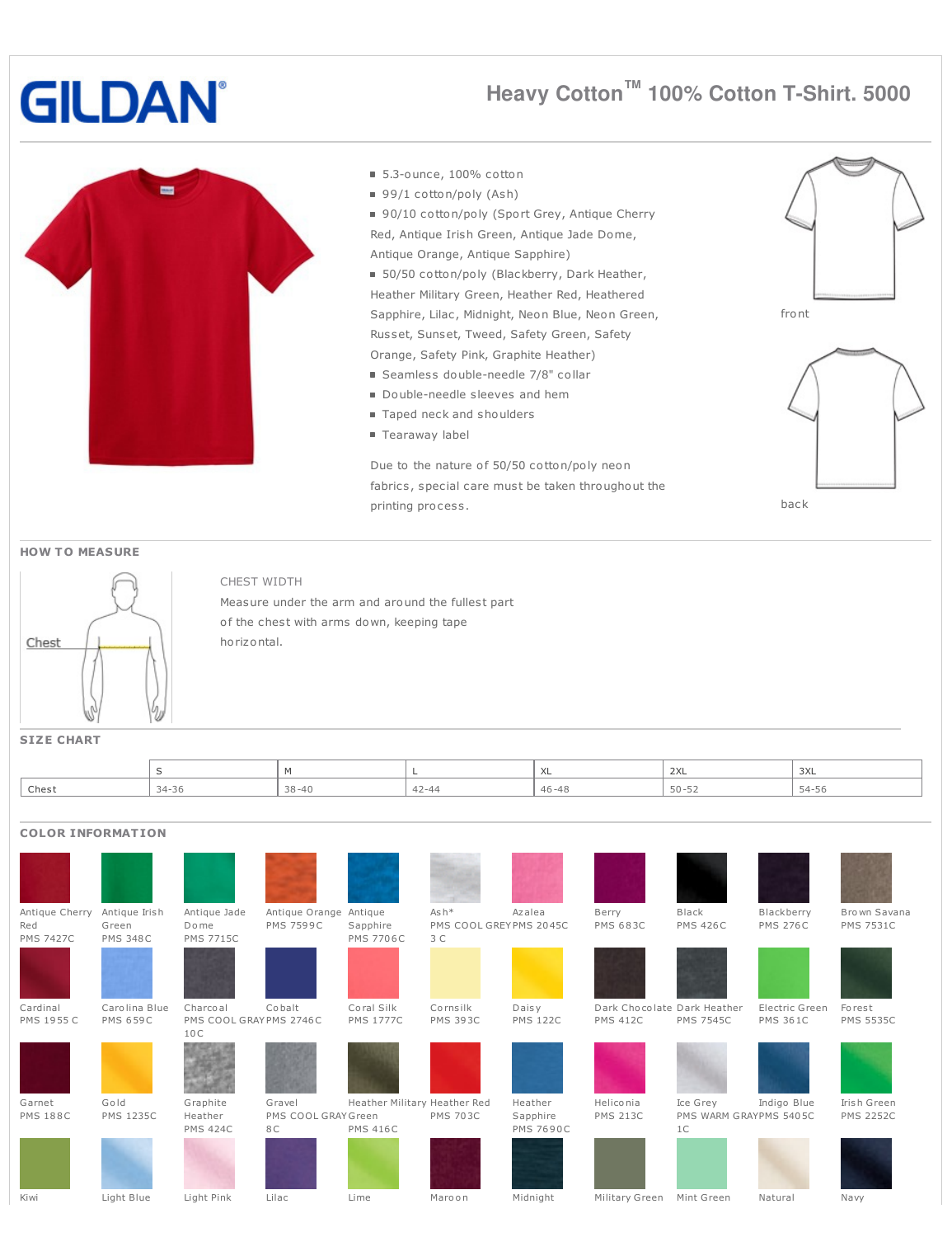# **GILDAN**

# Heavy Cotton<sup>™</sup> 100% Cotton T-Shirt. 5000



#### ■ 5.3-ounce, 100% cotton

- $99/1 \cot \frac{\pi}{2}$  (Ash)
- 90/10 cotton/poly (Sport Grey, Antique Cherry Red, Antique Irish Green, Antique Jade Dome, Antique Orange, Antique Sapphire)
- 50/50 cotton/poly (Blackberry, Dark Heather, Heather Military Green, Heather Red, Heathered Sapphire, Lilac, Midnight, Neon Blue, Neon Green, Russet, Sunset, Tweed, Safety Green, Safety Orange, Safety Pink, Graphite Heather)
- Seamless double-needle 7/8" collar
- Double-needle sleeves and hem
- Taped neck and shoulders
- Tearaway label

Due to the nature of 50/50 cotton/poly neon fabrics, special care must be taken throughout the printing process.





#### **HOW TO MEASURE**



### CHEST WIDTH

Measure under the arm and around the fullest part of the chest with arms down, keeping tape horizontal.

**SIZE CHART** 

|       |                    |           | $\lambda$<br>⌒⌒∟ | 2XL       | $\sim$<br>しハレ                          |  |
|-------|--------------------|-----------|------------------|-----------|----------------------------------------|--|
| Chest | $34 - 36$<br>- J U | $29 - 40$ | $46 - 48$        | $50 - 52$ | $\sim$<br>$\sim$ $\Delta$ $=$<br>ں ر_∙ |  |

## **COLOR INFORMATION**

| Antique Cherry<br>Red | Antique Irish<br>Green | Antique Jade<br>Dome           | Antique Orange Antique<br><b>PMS 7599C</b> |                              | $Ash*$<br>PMS COOL GREYPMS 2045C | Azalea           | Berry<br><b>PMS 683C</b>    | Black<br><b>PMS 426C</b> | Blackberry<br><b>PMS 276C</b> | Brown Savana<br><b>PMS 7531C</b> |
|-----------------------|------------------------|--------------------------------|--------------------------------------------|------------------------------|----------------------------------|------------------|-----------------------------|--------------------------|-------------------------------|----------------------------------|
| <b>PMS 7427C</b>      | <b>PMS 348C</b>        | <b>PMS 7715C</b>               |                                            | Sapphire<br><b>PMS 7706C</b> | 3 C                              |                  |                             |                          |                               |                                  |
|                       |                        |                                |                                            |                              |                                  |                  |                             |                          |                               |                                  |
| Cardinal              | Carolina Blue          | Charcoal                       | Cobalt                                     | Coral Silk                   | Cornsilk                         | Daisy            | Dark Chocolate Dark Heather |                          | Electric Green                | Forest                           |
| PMS 1955 C            | <b>PMS 659C</b>        | PMS COOL GRAYPMS 2746C<br>10 C |                                            | <b>PMS 1777C</b>             | <b>PMS 393C</b>                  | <b>PMS 122C</b>  | <b>PMS 412C</b>             | <b>PMS 7545C</b>         | <b>PMS 361C</b>               | <b>PMS 5535C</b>                 |
|                       |                        |                                |                                            |                              |                                  |                  |                             |                          |                               |                                  |
| Garnet                | Gold                   | Graphite                       | Gravel                                     | Heather Military Heather Red |                                  | Heather          | Heliconia                   | Ice Grey                 | Indigo Blue                   | Irish Green                      |
| <b>PMS 188C</b>       | <b>PMS 1235C</b>       | Heather                        | PMS COOL GRAY Green                        |                              | <b>PMS 703C</b>                  | Sapphire         | <b>PMS 213C</b>             | PMS WARM GRAYPMS 5405C   |                               | <b>PMS 2252C</b>                 |
|                       |                        | <b>PMS 424C</b>                | 8 C                                        | <b>PMS 416C</b>              |                                  | <b>PMS 7690C</b> |                             | 1 <sup>C</sup>           |                               |                                  |
|                       |                        |                                |                                            |                              |                                  |                  |                             |                          |                               |                                  |

Maroon

Midnight

Military Green Mint Green

Natural

Navy

Kiwi

Light Blue

Light Pink

Lilac

Lime